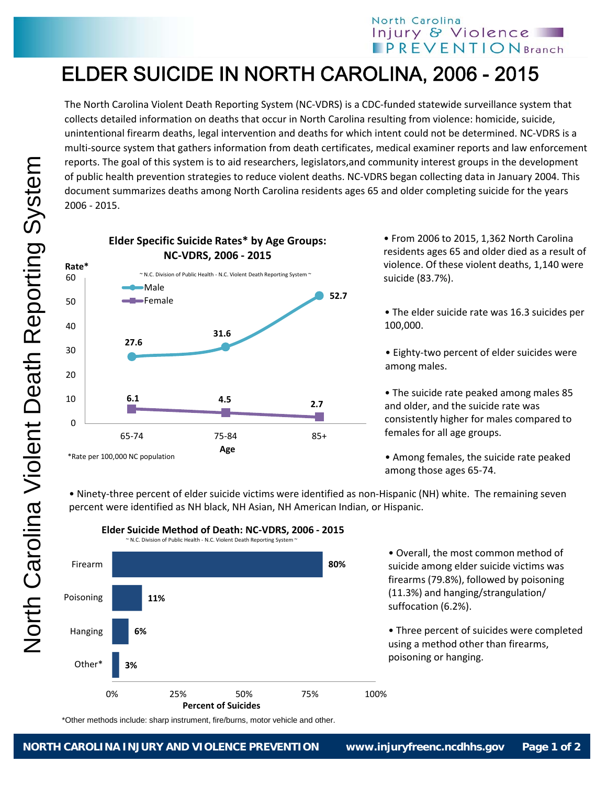## North Carolina Injury & Violence **IPREVENTIONBranch**

## ELDER SUICIDE IN NORTH CAROLINA, 2006 - 2015

The North Carolina Violent Death Reporting System (NC‐VDRS) is a CDC‐funded statewide surveillance system that collects detailed information on deaths that occur in North Carolina resulting from violence: homicide, suicide, unintentional firearm deaths, legal intervention and deaths for which intent could not be determined. NC‐VDRS is a multi‐source system that gathers information from death certificates, medical examiner reports and law enforcement reports. The goal of this system is to aid researchers, legislators,and community interest groups in the development of public health prevention strategies to reduce violent deaths. NC‐VDRS began collecting data in January 2004. This document summarizes deaths among North Carolina residents ages 65 and older completing suicide for the years 2006 ‐ 2015.



• From 2006 to 2015, 1,362 North Carolina residents ages 65 and older died as a result of violence. Of these violent deaths, 1,140 were suicide (83.7%).

• The elder suicide rate was 16.3 suicides per 100,000.

• Eighty‐two percent of elder suicides were among males.

• The suicide rate peaked among males 85 and older, and the suicide rate was consistently higher for males compared to females for all age groups.

• Among females, the suicide rate peaked among those ages 65‐74.

• Ninety‐three percent of elder suicide victims were identified as non‐Hispanic (NH) white. The remaining seven percent were identified as NH black, NH Asian, NH American Indian, or Hispanic.



**Elder Suicide Method of Death: NC‐VDRS, 2006 ‐ 2015**

• Overall, the most common method of suicide among elder suicide victims was firearms (79.8%), followed by poisoning (11.3%) and hanging/strangulation/ suffocation (6.2%).

• Three percent of suicides were completed using a method other than firearms, poisoning or hanging.

\*Other methods include: sharp instrument, fire/burns, motor vehicle and other.